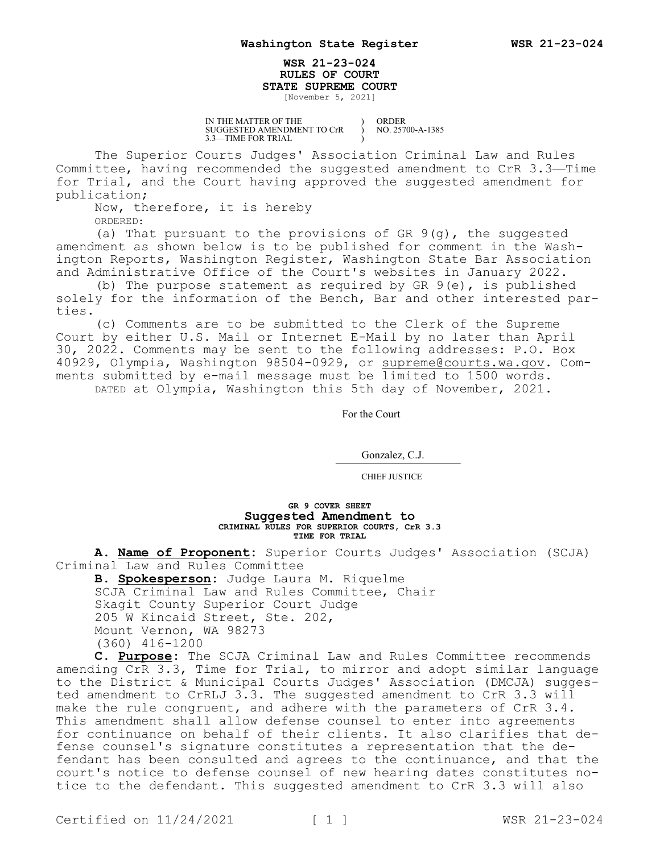## **WSR 21-23-024 RULES OF COURT STATE SUPREME COURT**

) ) )

[November 5, 2021]

IN THE MATTER OF THE SUGGESTED AMENDMENT TO CrR 3.3—TIME FOR TRIAL

ORDER NO. 25700-A-1385

The Superior Courts Judges' Association Criminal Law and Rules Committee, having recommended the suggested amendment to CrR 3.3—Time for Trial, and the Court having approved the suggested amendment for publication;

Now, therefore, it is hereby ORDERED:

(a) That pursuant to the provisions of GR  $9(q)$ , the suggested amendment as shown below is to be published for comment in the Washington Reports, Washington Register, Washington State Bar Association and Administrative Office of the Court's websites in January 2022.

(b) The purpose statement as required by GR 9(e), is published solely for the information of the Bench, Bar and other interested parties.

(c) Comments are to be submitted to the Clerk of the Supreme Court by either U.S. Mail or Internet E-Mail by no later than April 30, 2022. Comments may be sent to the following addresses: P.O. Box 40929, Olympia, Washington 98504-0929, or supreme@courts.wa.gov. Comments submitted by e-mail message must be limited to 1500 words. DATED at Olympia, Washington this 5th day of November, 2021.

For the Court

Gonzalez, C.J.

CHIEF JUSTICE

## **GR 9 COVER SHEET Suggested Amendment to CRIMINAL RULES FOR SUPERIOR COURTS, CrR 3.3 TIME FOR TRIAL**

**A. Name of Proponent:** Superior Courts Judges' Association (SCJA) Criminal Law and Rules Committee

**B. Spokesperson:** Judge Laura M. Riquelme SCJA Criminal Law and Rules Committee, Chair Skagit County Superior Court Judge 205 W Kincaid Street, Ste. 202, Mount Vernon, WA 98273 (360) 416-1200

**C. Purpose:** The SCJA Criminal Law and Rules Committee recommends amending CrR 3.3, Time for Trial, to mirror and adopt similar language to the District & Municipal Courts Judges' Association (DMCJA) suggested amendment to CrRLJ 3.3. The suggested amendment to CrR 3.3 will make the rule congruent, and adhere with the parameters of CrR 3.4. This amendment shall allow defense counsel to enter into agreements for continuance on behalf of their clients. It also clarifies that defense counsel's signature constitutes a representation that the defendant has been consulted and agrees to the continuance, and that the court's notice to defense counsel of new hearing dates constitutes notice to the defendant. This suggested amendment to CrR 3.3 will also

Certified on  $11/24/2021$  [ 1 ] WSR 21-23-024